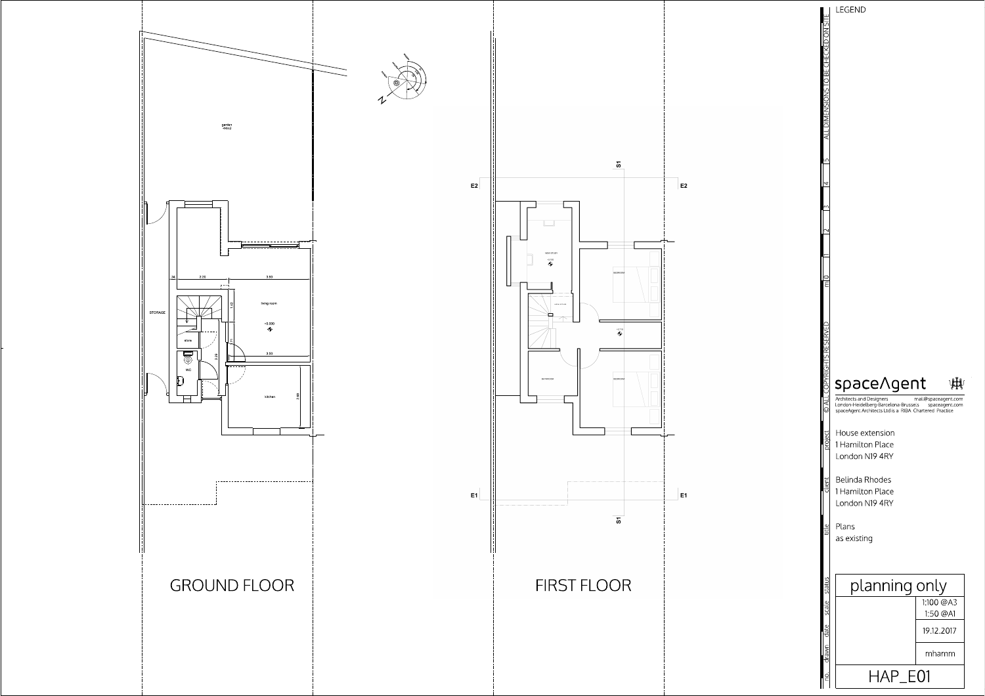





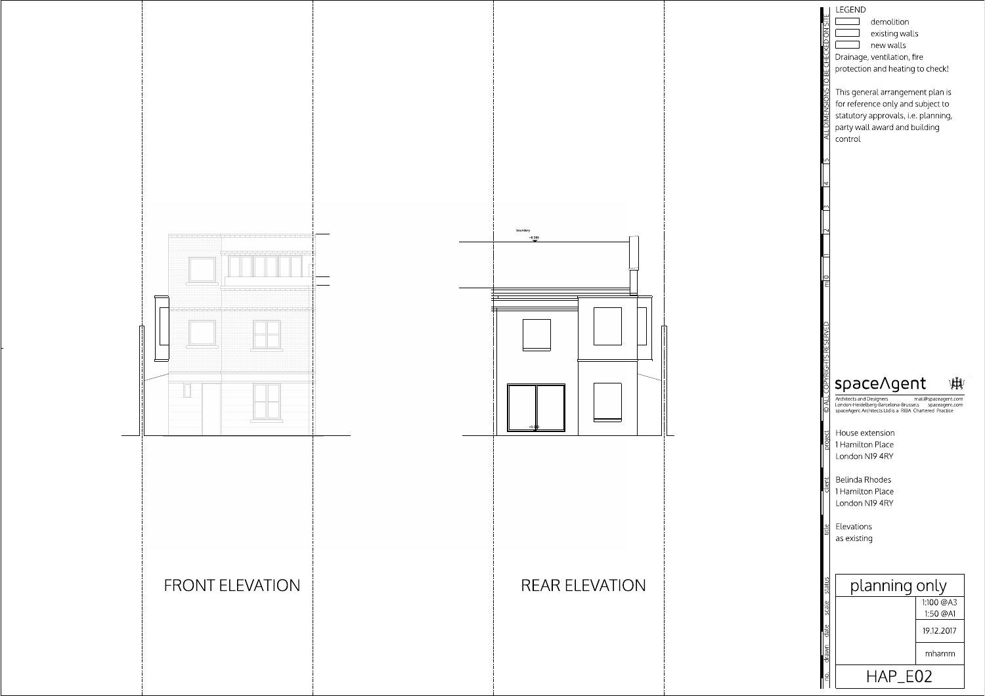